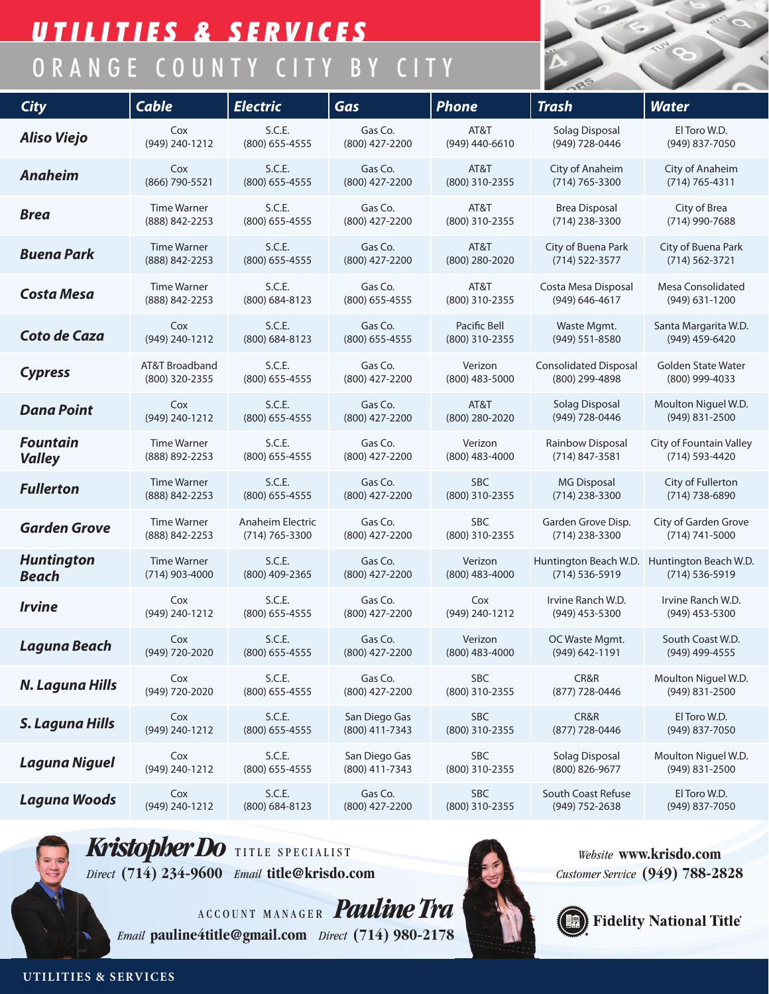## *UTILITIES & SERVICES* ORANGE COUNTY CITY BY CITY

| <b>City</b>                 | <b>Cable</b>       | <b>Electric</b>  | Gas              | <b>Phone</b>     | <b>Trash</b>                 | <b>Water</b>            |
|-----------------------------|--------------------|------------------|------------------|------------------|------------------------------|-------------------------|
| <b>Aliso Viejo</b>          | Cox                | S.C.E.           | Gas Co.          | AT&T             | Solag Disposal               | El Toro W.D.            |
|                             | (949) 240-1212     | (800) 655-4555   | (800) 427-2200   | (949) 440-6610   | (949) 728-0446               | (949) 837-7050          |
| <b>Anaheim</b>              | Cox                | S.C.E.           | Gas Co.          | AT&T             | City of Anaheim              | City of Anaheim         |
|                             | (866) 790-5521     | $(800)$ 655-4555 | (800) 427-2200   | (800) 310-2355   | $(714) 765 - 3300$           | (714) 765-4311          |
| <b>Brea</b>                 | <b>Time Warner</b> | S.C.E.           | Gas Co.          | AT&T             | <b>Brea Disposal</b>         | City of Brea            |
|                             | (888) 842-2253     | $(800)$ 655-4555 | (800) 427-2200   | (800) 310-2355   | (714) 238-3300               | (714) 990-7688          |
| <b>Buena Park</b>           | <b>Time Warner</b> | S.C.E.           | Gas Co.          | AT&T             | City of Buena Park           | City of Buena Park      |
|                             | (888) 842-2253     | $(800)$ 655-4555 | (800) 427-2200   | (800) 280-2020   | $(714) 522 - 3577$           | $(714) 562 - 3721$      |
| <b>Costa Mesa</b>           | <b>Time Warner</b> | S.C.E.           | Gas Co.          | AT&T             | Costa Mesa Disposal          | Mesa Consolidated       |
|                             | (888) 842-2253     | (800) 684-8123   | $(800)$ 655-4555 | (800) 310-2355   | (949) 646-4617               | $(949)$ 631-1200        |
| Coto de Caza                | Cox                | S.C.E.           | Gas Co.          | Pacific Bell     | Waste Mgmt.                  | Santa Margarita W.D.    |
|                             | (949) 240-1212     | (800) 684-8123   | $(800)$ 655-4555 | (800) 310-2355   | (949) 551-8580               | (949) 459-6420          |
| <b>Cypress</b>              | AT&T Broadband     | S.C.E.           | Gas Co.          | Verizon          | <b>Consolidated Disposal</b> | Golden State Water      |
|                             | (800) 320-2355     | $(800)$ 655-4555 | (800) 427-2200   | $(800)$ 483-5000 | (800) 299-4898               | (800) 999-4033          |
| <b>Dana Point</b>           | Cox                | S.C.E.           | Gas Co.          | AT&T             | Solag Disposal               | Moulton Niguel W.D.     |
|                             | (949) 240-1212     | $(800)$ 655-4555 | (800) 427-2200   | (800) 280-2020   | (949) 728-0446               | $(949)$ 831-2500        |
| <b>Fountain</b>             | <b>Time Warner</b> | S.C.E.           | Gas Co.          | Verizon          | Rainbow Disposal             | City of Fountain Valley |
| <b>Valley</b>               | (888) 892-2253     | $(800)$ 655-4555 | (800) 427-2200   | $(800)$ 483-4000 | (714) 847-3581               | (714) 593-4420          |
| <b>Fullerton</b>            | <b>Time Warner</b> | S.C.E.           | Gas Co.          | <b>SBC</b>       | MG Disposal                  | City of Fullerton       |
|                             | (888) 842-2253     | $(800)$ 655-4555 | (800) 427-2200   | (800) 310-2355   | (714) 238-3300               | $(714)$ 738-6890        |
| <b>Garden Grove</b>         | <b>Time Warner</b> | Anaheim Electric | Gas Co.          | <b>SBC</b>       | Garden Grove Disp.           | City of Garden Grove    |
|                             | (888) 842-2253     | (714) 765-3300   | (800) 427-2200   | (800) 310-2355   | (714) 238-3300               | $(714) 741 - 5000$      |
| <b>Huntington</b>           | <b>Time Warner</b> | S.C.E.           | Gas Co.          | Verizon          | Huntington Beach W.D.        | Huntington Beach W.D.   |
| <b>Beach</b>                | (714) 903-4000     | (800) 409-2365   | (800) 427-2200   | $(800)$ 483-4000 | (714) 536-5919               | (714) 536-5919          |
| <i><u><b>Irvine</b></u></i> | Cox                | S.C.E.           | Gas Co.          | Cox              | Irvine Ranch W.D.            | Irvine Ranch W.D.       |
|                             | (949) 240-1212     | (800) 655-4555   | (800) 427-2200   | (949) 240-1212   | (949) 453-5300               | $(949)$ 453-5300        |
| Laguna Beach                | Cox                | S.C.E.           | Gas Co.          | Verizon          | OC Waste Mgmt.               | South Coast W.D.        |
|                             | (949) 720-2020     | (800) 655-4555   | (800) 427-2200   | (800) 483-4000   | (949) 642-1191               | (949) 499-4555          |
| N. Laguna Hills             | Cox                | S.C.E.           | Gas Co.          | <b>SBC</b>       | CR&R                         | Moulton Niguel W.D.     |
|                             | (949) 720-2020     | (800) 655-4555   | (800) 427-2200   | (800) 310-2355   | (877) 728-0446               | (949) 831-2500          |
| S. Laguna Hills             | Cox                | S.C.E.           | San Diego Gas    | <b>SBC</b>       | CR&R                         | El Toro W.D.            |
|                             | (949) 240-1212     | (800) 655-4555   | (800) 411-7343   | (800) 310-2355   | (877) 728-0446               | (949) 837-7050          |
| Laguna Niguel               | Cox                | S.C.E.           | San Diego Gas    | <b>SBC</b>       | Solag Disposal               | Moulton Niguel W.D.     |
|                             | (949) 240-1212     | (800) 655-4555   | (800) 411-7343   | (800) 310-2355   | (800) 826-9677               | (949) 831-2500          |
| Laguna Woods                | Cox                | S.C.E.           | Gas Co.          | <b>SBC</b>       | South Coast Refuse           | El Toro W.D.            |
|                             | (949) 240-1212     | (800) 684-8123   | (800) 427-2200   | (800) 310-2355   | (949) 752-2638               | (949) 837-7050          |



ACCOUNT MANAGER Pauline Tra *Email* **pauline4title@gmail.com** *Direct* **(714) 980-2178**



*Website* **www.krisdo.com** *Customer Service* **(949) 788-2828**



**UTILITIES & SERVICES**